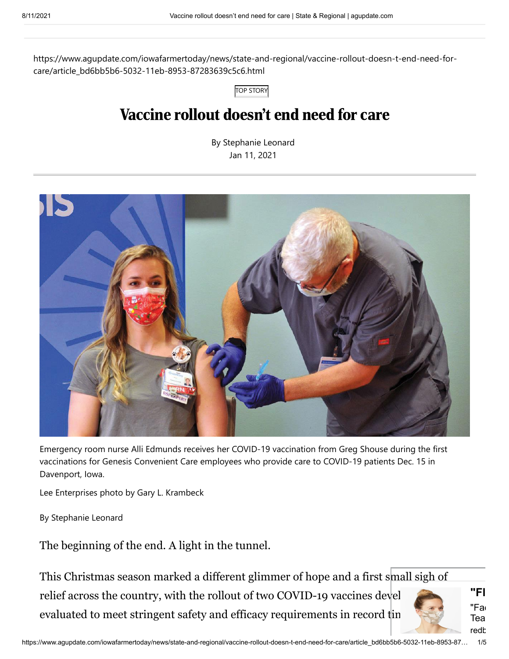https://www.agupdate.com/iowafarmertoday/news/state-and-regional/vaccine-rollout-doesn-t-end-need-forcare/article\_bd6bb5b6-5032-11eb-8953-87283639c5c6.html

TOP STORY

# Vaccine rollout doesn't end need for care

By Stephanie Leonard Jan 11, 2021



Emergency room nurse Alli Edmunds receives her COVID-19 vaccination from Greg Shouse during the first vaccinations for Genesis Convenient Care employees who provide care to COVID-19 patients Dec. 15 in Davenport, Iowa.

Lee Enterprises photo by Gary L. Krambeck

By Stephanie Leonard

The beginning of the end. A light in the tunnel.

This Christmas season marked a different glimmer of hope and a first small sigh of relief across the country, with the rollout of two COVID-19 vaccines devel evaluated to meet stringent safety and efficacy requirements in record tin

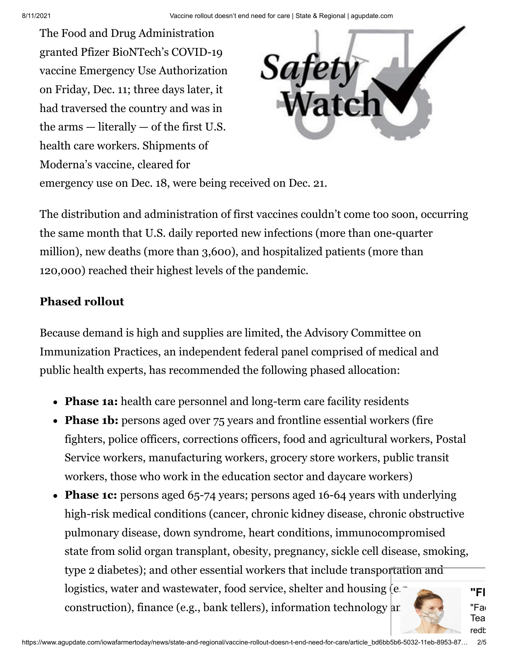The Food and Drug Administration granted Pfizer BioNTech's COVID-19 vaccine Emergency Use Authorization on Friday, Dec. 11; three days later, it had traversed the country and was in the arms  $-$  literally  $-$  of the first U.S. health care workers. Shipments of Moderna's vaccine, cleared for



emergency use on Dec. 18, were being received on Dec. 21.

The distribution and administration of first vaccines couldn't come too soon, occurring the same month that U.S. daily reported new infections (more than one-quarter million), new deaths (more than 3,600), and hospitalized patients (more than 120,000) reached their highest levels of the pandemic.

#### **Phased rollout**

Because demand is high and supplies are limited, the Advisory Committee on Immunization Practices, an independent federal panel comprised of medical and public health experts, has recommended the following phased allocation:

- **Phase 1a:** health care personnel and long-term care facility residents
- **Phase 1b:** persons aged over 75 years and frontline essential workers (fire fighters, police officers, corrections officers, food and agricultural workers, Postal Service workers, manufacturing workers, grocery store workers, public transit workers, those who work in the education sector and daycare workers)
- **Phase 1c:** persons aged 65-74 years; persons aged 16-64 years with underlying high-risk medical conditions (cancer, chronic kidney disease, chronic obstructive pulmonary disease, down syndrome, heart conditions, immunocompromised state from solid organ transplant, obesity, pregnancy, sickle cell disease, smoking, type 2 diabetes); and other essential workers that include transportation and logistics, water and wastewater, food service, shelter and housing (e. construction), finance (e.g., bank tellers), information technology and

**"Fl** "Fac lea redh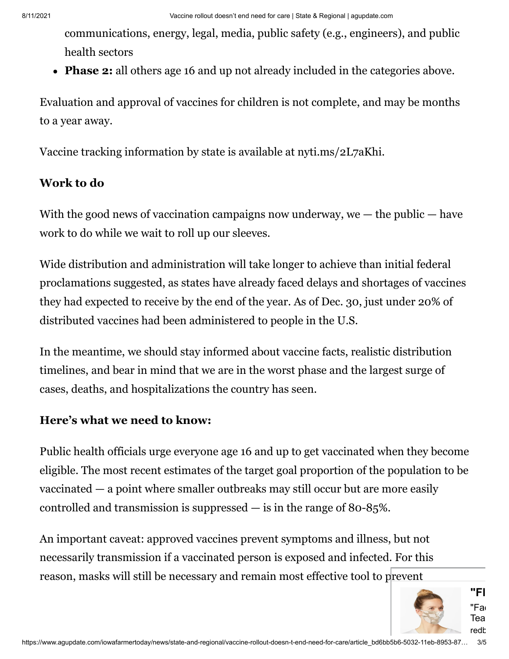communications, energy, legal, media, public safety (e.g., engineers), and public health sectors

**Phase 2:** all others age 16 and up not already included in the categories above.

Evaluation and approval of vaccines for children is not complete, and may be months to a year away.

Vaccine tracking information by state is available at nyti.ms/2L7aKhi.

#### **Work to do**

With the good news of vaccination campaigns now underway, we  $-$  the public  $-$  have work to do while we wait to roll up our sleeves.

Wide distribution and administration will take longer to achieve than initial federal proclamations suggested, as states have already faced delays and shortages of vaccines they had expected to receive by the end of the year. As of Dec. 30, just under 20% of distributed vaccines had been administered to people in the U.S.

In the meantime, we should stay informed about vaccine facts, realistic distribution timelines, and bear in mind that we are in the worst phase and the largest surge of cases, deaths, and hospitalizations the country has seen.

### **Here's what we need to know:**

Public health officials urge everyone age 16 and up to get vaccinated when they become eligible. The most recent estimates of the target goal proportion of the population to be vaccinated — a point where smaller outbreaks may still occur but are more easily controlled and transmission is suppressed — is in the range of 80-85%.

An important caveat: approved vaccines prevent symptoms and illness, but not necessarily transmission if a vaccinated person is exposed and infected. For this reason, masks will still be necessary and remain most effective tool to prevent

**"Fl**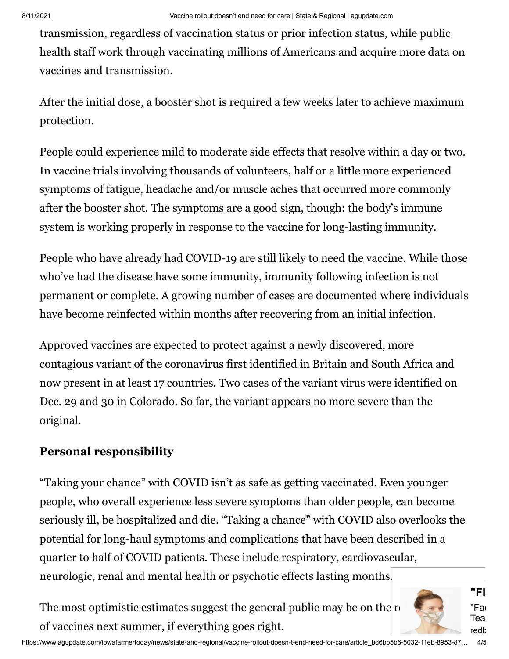transmission, regardless of vaccination status or prior infection status, while public health staff work through vaccinating millions of Americans and acquire more data on vaccines and transmission.

After the initial dose, a booster shot is required a few weeks later to achieve maximum protection.

People could experience mild to moderate side effects that resolve within a day or two. In vaccine trials involving thousands of volunteers, half or a little more experienced symptoms of fatigue, headache and/or muscle aches that occurred more commonly after the booster shot. The symptoms are a good sign, though: the body's immune system is working properly in response to the vaccine for long-lasting immunity.

People who have already had COVID-19 are still likely to need the vaccine. While those who've had the disease have some immunity, immunity following infection is not permanent or complete. A growing number of cases are documented where individuals have become reinfected within months after recovering from an initial infection.

Approved vaccines are expected to protect against a newly discovered, more contagious variant of the coronavirus first identified in Britain and South Africa and now present in at least 17 countries. Two cases of the variant virus were identified on Dec. 29 and 30 in Colorado. So far, the variant appears no more severe than the original.

## **Personal responsibility**

"Taking your chance" with COVID isn't as safe as getting vaccinated. Even younger people, who overall experience less severe symptoms than older people, can become seriously ill, be hospitalized and die. "Taking a chance" with COVID also overlooks the potential for long-haul symptoms and complications that have been described in a quarter to half of COVID patients. These include respiratory, cardiovascular, neurologic, renal and mental health or psychotic effects lasting months.

The most optimistic estimates suggest the general public may be on the  $r_{\text{t}}$ of vaccines next summer, if everything goes right.



**"Fl** "Fa Iea redh